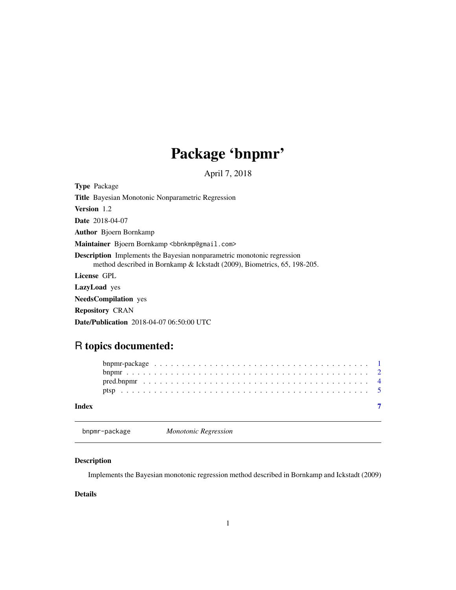# Package 'bnpmr'

April 7, 2018

<span id="page-0-0"></span>Type Package Title Bayesian Monotonic Nonparametric Regression Version 1.2 Date 2018-04-07 Author Bjoern Bornkamp Maintainer Bjoern Bornkamp <br/>bbnkmp@gmail.com> Description Implements the Bayesian nonparametric monotonic regression method described in Bornkamp & Ickstadt (2009), Biometrics, 65, 198-205. License GPL LazyLoad yes NeedsCompilation yes Repository CRAN

Date/Publication 2018-04-07 06:50:00 UTC

## R topics documented:

| Index |  |  |  |  |  |  |  |  |  |  |  |  |  |  |  |  |  |  |
|-------|--|--|--|--|--|--|--|--|--|--|--|--|--|--|--|--|--|--|

bnpmr-package *Monotonic Regression*

#### Description

Implements the Bayesian monotonic regression method described in Bornkamp and Ickstadt (2009)

#### Details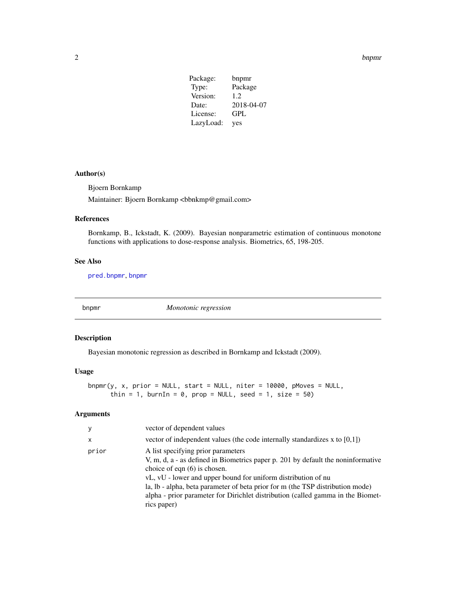<span id="page-1-0"></span> $2$  bnpmr

| Package:  | bnpmr      |
|-----------|------------|
| Type:     | Package    |
| Version:  | 1.2        |
| Date:     | 2018-04-07 |
| License:  | GPL        |
| LazyLoad: | yes        |

#### Author(s)

Bjoern Bornkamp

Maintainer: Bjoern Bornkamp <br/> <br/>bbnkmp@gmail.com>

#### References

Bornkamp, B., Ickstadt, K. (2009). Bayesian nonparametric estimation of continuous monotone functions with applications to dose-response analysis. Biometrics, 65, 198-205.

#### See Also

[pred.bnpmr](#page-3-1), [bnpmr](#page-1-1)

<span id="page-1-1"></span>bnpmr *Monotonic regression*

#### Description

Bayesian monotonic regression as described in Bornkamp and Ickstadt (2009).

#### Usage

```
bnpmr(y, x, prior = NULL, start = NULL, niter = 10000, pMoves = NULL,
     thin = 1, burnIn = 0, prop = NULL, seed = 1, size = 50)
```
#### Arguments

| y            | vector of dependent values                                                                                                                                                                                                                                                                                                                                                                                    |
|--------------|---------------------------------------------------------------------------------------------------------------------------------------------------------------------------------------------------------------------------------------------------------------------------------------------------------------------------------------------------------------------------------------------------------------|
| $\mathsf{x}$ | vector of independent values (the code internally standardizes x to $[0,1]$ )                                                                                                                                                                                                                                                                                                                                 |
| prior        | A list specifying prior parameters<br>V, m, d, a - as defined in Biometrics paper p. 201 by default the noninformative<br>choice of eqn $(6)$ is chosen.<br>vL, vU - lower and upper bound for uniform distribution of nu<br>la, lb - alpha, beta parameter of beta prior for m (the TSP distribution mode)<br>alpha - prior parameter for Dirichlet distribution (called gamma in the Biomet-<br>rics paper) |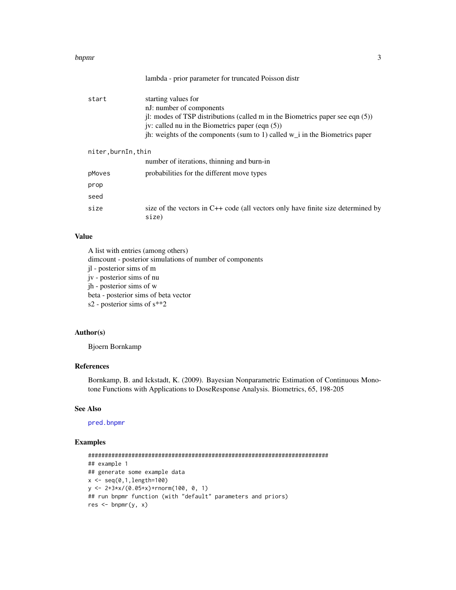#### <span id="page-2-0"></span>bnpmr 3

| start               | starting values for<br>nJ: number of components<br>il: modes of TSP distributions (called m in the Biometrics paper see eqn $(5)$ )<br>jv: called nu in the Biometrics paper (eqn $(5)$ )<br>jh: weights of the components (sum to 1) called $w_i$ in the Biometrics paper |
|---------------------|----------------------------------------------------------------------------------------------------------------------------------------------------------------------------------------------------------------------------------------------------------------------------|
| niter, burnIn, thin |                                                                                                                                                                                                                                                                            |
|                     | number of iterations, thinning and burn-in                                                                                                                                                                                                                                 |
| pMoves              | probabilities for the different move types                                                                                                                                                                                                                                 |
| prop                |                                                                                                                                                                                                                                                                            |
| seed                |                                                                                                                                                                                                                                                                            |
| size                | size of the vectors in C++ code (all vectors only have finite size determined by<br>size)                                                                                                                                                                                  |

lambda - prior parameter for truncated Poisson distr

#### Value

A list with entries (among others) dimcount - posterior simulations of number of components jl - posterior sims of m jv - posterior sims of nu jh - posterior sims of w beta - posterior sims of beta vector s2 - posterior sims of s\*\*2

#### Author(s)

Bjoern Bornkamp

#### References

Bornkamp, B. and Ickstadt, K. (2009). Bayesian Nonparametric Estimation of Continuous Monotone Functions with Applications to DoseResponse Analysis. Biometrics, 65, 198-205

#### See Also

[pred.bnpmr](#page-3-1)

### Examples

```
########################################################################
## example 1
## generate some example data
x < - seq(0,1,length=100)
y <- 2+3*x/(0.05+x)+rnorm(100, 0, 1)
## run bnpmr function (with "default" parameters and priors)
res < - bnpmr(y, x)
```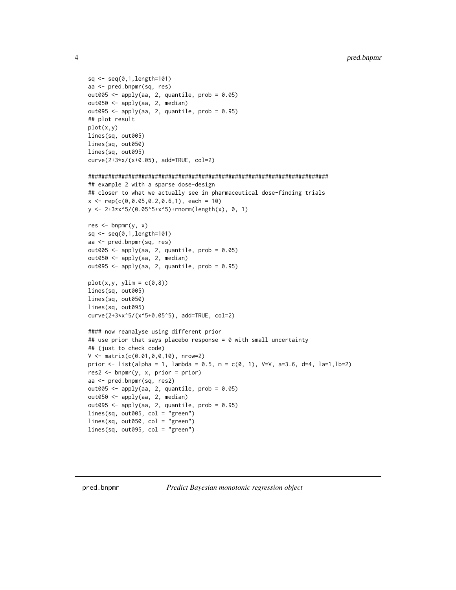```
sq \leftarrow seq(0, 1, length=101)aa <- pred.bnpmr(sq, res)
out005 <- apply(aa, 2, quantile, prob = 0.05)
out050 <- apply(aa, 2, median)
out095 \leq apply(aa, 2, quantile, prob = 0.95)
## plot result
plot(x,y)
lines(sq, out005)
lines(sq, out050)
lines(sq, out095)
curve(2+3*x/(x+0.05), add=TRUE, col=2)
########################################################################
## example 2 with a sparse dose-design
## closer to what we actually see in pharmaceutical dose-finding trials
x \leq -\text{rep}(c(0, 0.05, 0.2, 0.6, 1), \text{ each } = 10)y <- 2+3*x^5/(0.05^5+x^5)+rnorm(length(x), 0, 1)
res < - bnpmr(y, x)sq <- seq(0,1,length=101)
aa <- pred.bnpmr(sq, res)
out005 \leq apply(aa, 2, quantile, prob = 0.05)
out050 <- apply(aa, 2, median)
out095 <- apply(aa, 2, quantile, prob = 0.95)
plot(x,y, y)im = c(0,8))
lines(sq, out005)
lines(sq, out050)
lines(sq, out095)
curve(2+3*x^5/(x^5+0.05^5), add=TRUE, col=2)
#### now reanalyse using different prior
## use prior that says placebo response = 0 with small uncertainty
## (just to check code)
V \le - matrix(c(0.01,0,0,10), nrow=2)
prior <- list(alpha = 1, lambda = 0.5, m = c(0, 1), V=V, a=3.6, d=4, la=1,lb=2)
res2 <- bnpmr(y, x, prior = prior)
aa <- pred.bnpmr(sq, res2)
out005 \leq apply(aa, 2, quantile, prob = 0.05)
out050 <- apply(aa, 2, median)
out095 <- apply(aa, 2, quantile, prob = 0.95)
lines(sq, out005, col = "green")
lines(sq, out050, col = "green")
lines(sq, out095, col = "green")
```
<span id="page-3-1"></span>

<span id="page-3-0"></span>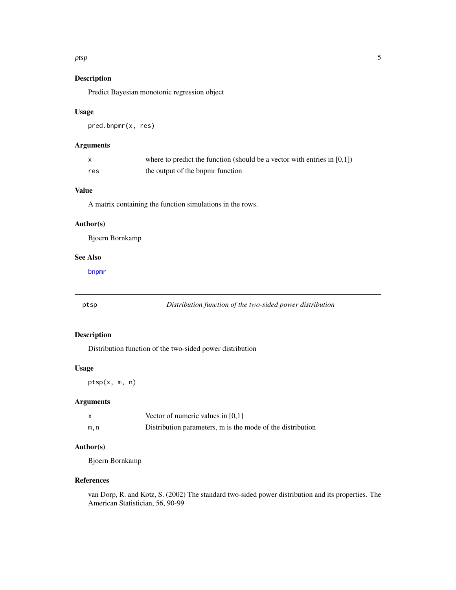#### <span id="page-4-0"></span>ptsp 5

#### Description

Predict Bayesian monotonic regression object

#### Usage

```
pred.bnpmr(x, res)
```
#### Arguments

|     | where to predict the function (should be a vector with entries in $[0,1]$ ) |
|-----|-----------------------------------------------------------------------------|
| res | the output of the bnpmr function                                            |

#### Value

A matrix containing the function simulations in the rows.

#### Author(s)

Bjoern Bornkamp

#### See Also

[bnpmr](#page-1-1)

ptsp *Distribution function of the two-sided power distribution*

#### Description

Distribution function of the two-sided power distribution

#### Usage

ptsp(x, m, n)

#### Arguments

|     | Vector of numeric values in $[0,1]$                        |
|-----|------------------------------------------------------------|
| m.n | Distribution parameters, m is the mode of the distribution |

#### Author(s)

Bjoern Bornkamp

#### References

van Dorp, R. and Kotz, S. (2002) The standard two-sided power distribution and its properties. The American Statistician, 56, 90-99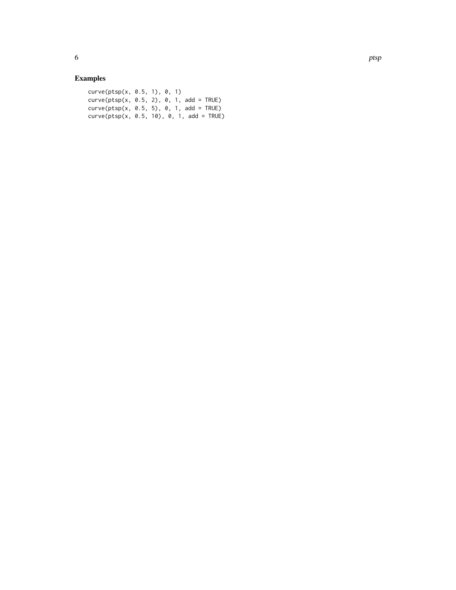### Examples

| curve(ptsp(x, 0.5, 1), 0, 1)                |  |  |
|---------------------------------------------|--|--|
| $curve(ptsp(x, 0.5, 2), 0, 1, add = TRUE)$  |  |  |
| $curve(ptsp(x, 0.5, 5), 0, 1, add = TRUE)$  |  |  |
| $curve(ptsp(x, 0.5, 10), 0, 1, add = TRUE)$ |  |  |